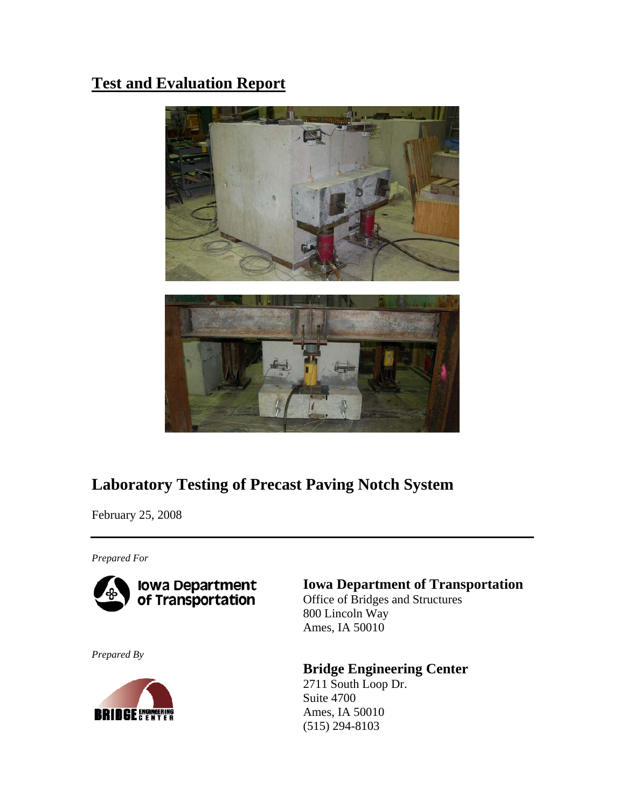# **Test and Evaluation Report**



# **Laboratory Testing of Precast Paving Notch System**

February 25, 2008

*Prepared For* 



*Prepared By* 



# **Iowa Department of Transportation**

Office of Bridges and Structures 800 Lincoln Way Ames, IA 50010

# **Bridge Engineering Center**

2711 South Loop Dr. Suite 4700 (515) 294-8103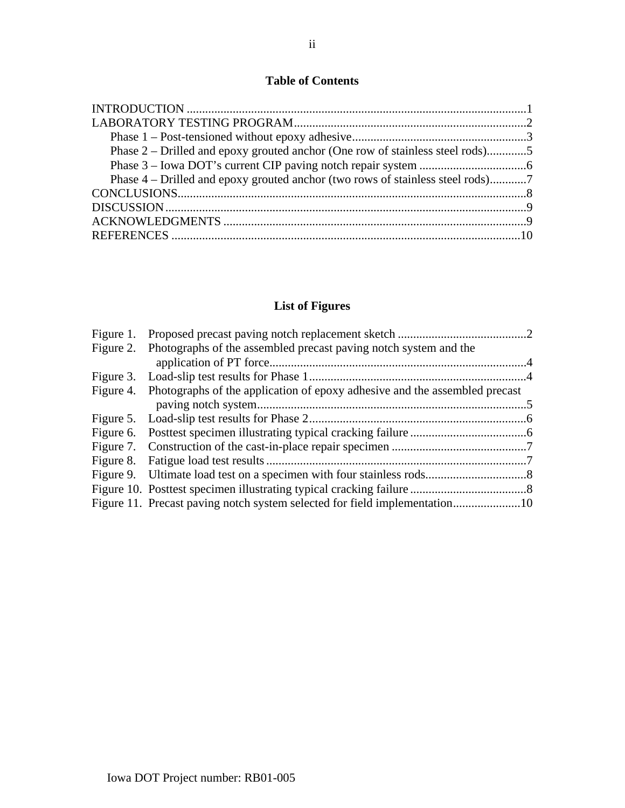# **Table of Contents**

| Phase 2 – Drilled and epoxy grouted anchor (One row of stainless steel rods)5 |  |
|-------------------------------------------------------------------------------|--|
|                                                                               |  |
|                                                                               |  |
|                                                                               |  |
|                                                                               |  |
|                                                                               |  |
|                                                                               |  |
|                                                                               |  |

# **List of Figures**

| Figure 2. Photographs of the assembled precast paving notch system and the           |  |
|--------------------------------------------------------------------------------------|--|
|                                                                                      |  |
| Figure 4. Photographs of the application of epoxy adhesive and the assembled precast |  |
|                                                                                      |  |
|                                                                                      |  |
|                                                                                      |  |
|                                                                                      |  |
|                                                                                      |  |
|                                                                                      |  |
|                                                                                      |  |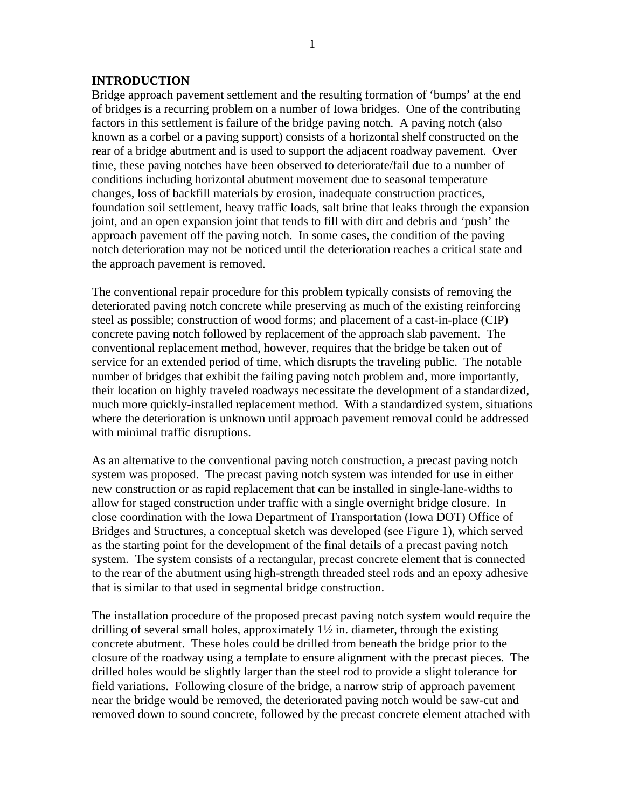#### **INTRODUCTION**

Bridge approach pavement settlement and the resulting formation of 'bumps' at the end of bridges is a recurring problem on a number of Iowa bridges. One of the contributing factors in this settlement is failure of the bridge paving notch. A paving notch (also known as a corbel or a paving support) consists of a horizontal shelf constructed on the rear of a bridge abutment and is used to support the adjacent roadway pavement. Over time, these paving notches have been observed to deteriorate/fail due to a number of conditions including horizontal abutment movement due to seasonal temperature changes, loss of backfill materials by erosion, inadequate construction practices, foundation soil settlement, heavy traffic loads, salt brine that leaks through the expansion joint, and an open expansion joint that tends to fill with dirt and debris and 'push' the approach pavement off the paving notch. In some cases, the condition of the paving notch deterioration may not be noticed until the deterioration reaches a critical state and the approach pavement is removed.

The conventional repair procedure for this problem typically consists of removing the deteriorated paving notch concrete while preserving as much of the existing reinforcing steel as possible; construction of wood forms; and placement of a cast-in-place (CIP) concrete paving notch followed by replacement of the approach slab pavement. The conventional replacement method, however, requires that the bridge be taken out of service for an extended period of time, which disrupts the traveling public. The notable number of bridges that exhibit the failing paving notch problem and, more importantly, their location on highly traveled roadways necessitate the development of a standardized, much more quickly-installed replacement method. With a standardized system, situations where the deterioration is unknown until approach pavement removal could be addressed with minimal traffic disruptions.

As an alternative to the conventional paving notch construction, a precast paving notch system was proposed. The precast paving notch system was intended for use in either new construction or as rapid replacement that can be installed in single-lane-widths to allow for staged construction under traffic with a single overnight bridge closure. In close coordination with the Iowa Department of Transportation (Iowa DOT) Office of Bridges and Structures, a conceptual sketch was developed (see Figure 1), which served as the starting point for the development of the final details of a precast paving notch system. The system consists of a rectangular, precast concrete element that is connected to the rear of the abutment using high-strength threaded steel rods and an epoxy adhesive that is similar to that used in segmental bridge construction.

The installation procedure of the proposed precast paving notch system would require the drilling of several small holes, approximately 1½ in. diameter, through the existing concrete abutment. These holes could be drilled from beneath the bridge prior to the closure of the roadway using a template to ensure alignment with the precast pieces. The drilled holes would be slightly larger than the steel rod to provide a slight tolerance for field variations. Following closure of the bridge, a narrow strip of approach pavement near the bridge would be removed, the deteriorated paving notch would be saw-cut and removed down to sound concrete, followed by the precast concrete element attached with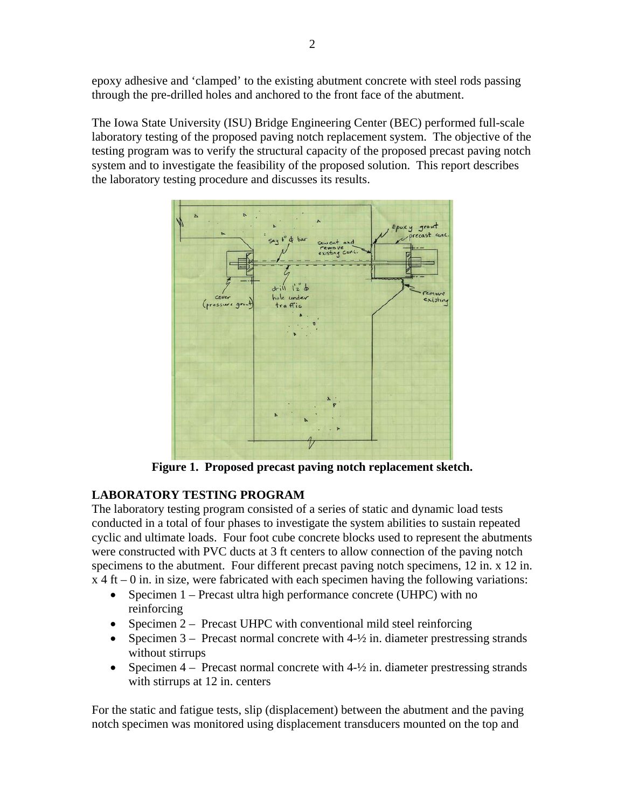epoxy adhesive and 'clamped' to the existing abutment concrete with steel rods passing through the pre-drilled holes and anchored to the front face of the abutment.

The Iowa State University (ISU) Bridge Engineering Center (BEC) performed full-scale laboratory testing of the proposed paving notch replacement system. The objective of the testing program was to verify the structural capacity of the proposed precast paving notch system and to investigate the feasibility of the proposed solution. This report describes the laboratory testing procedure and discusses its results.



**Figure 1. Proposed precast paving notch replacement sketch.** 

# **LABORATORY TESTING PROGRAM**

The laboratory testing program consisted of a series of static and dynamic load tests conducted in a total of four phases to investigate the system abilities to sustain repeated cyclic and ultimate loads. Four foot cube concrete blocks used to represent the abutments were constructed with PVC ducts at 3 ft centers to allow connection of the paving notch specimens to the abutment. Four different precast paving notch specimens, 12 in. x 12 in.  $x + 4$  ft – 0 in. in size, were fabricated with each specimen having the following variations:

- Specimen 1 Precast ultra high performance concrete (UHPC) with no
	- reinforcing
- Specimen 2 Precast UHPC with conventional mild steel reinforcing
- Specimen  $3$  Precast normal concrete with  $4-\frac{1}{2}$  in. diameter prestressing strands without stirrups
- Specimen  $4$  Precast normal concrete with  $4-\frac{1}{2}$  in. diameter prestressing strands with stirrups at 12 in. centers

For the static and fatigue tests, slip (displacement) between the abutment and the paving notch specimen was monitored using displacement transducers mounted on the top and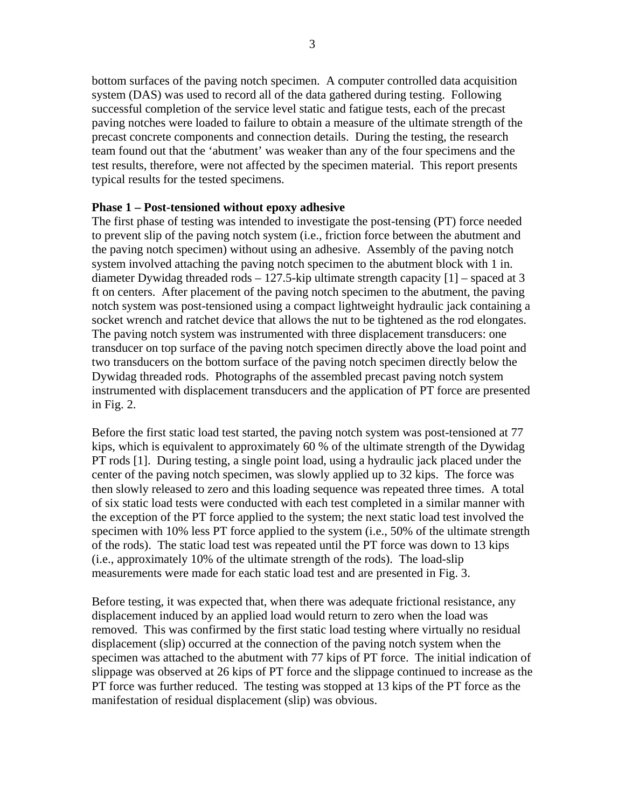bottom surfaces of the paving notch specimen. A computer controlled data acquisition system (DAS) was used to record all of the data gathered during testing. Following successful completion of the service level static and fatigue tests, each of the precast paving notches were loaded to failure to obtain a measure of the ultimate strength of the precast concrete components and connection details. During the testing, the research team found out that the 'abutment' was weaker than any of the four specimens and the test results, therefore, were not affected by the specimen material. This report presents typical results for the tested specimens.

#### **Phase 1 – Post-tensioned without epoxy adhesive**

The first phase of testing was intended to investigate the post-tensing (PT) force needed to prevent slip of the paving notch system (i.e., friction force between the abutment and the paving notch specimen) without using an adhesive. Assembly of the paving notch system involved attaching the paving notch specimen to the abutment block with 1 in. diameter Dywidag threaded rods – 127.5-kip ultimate strength capacity [1] – spaced at 3 ft on centers. After placement of the paving notch specimen to the abutment, the paving notch system was post-tensioned using a compact lightweight hydraulic jack containing a socket wrench and ratchet device that allows the nut to be tightened as the rod elongates. The paving notch system was instrumented with three displacement transducers: one transducer on top surface of the paving notch specimen directly above the load point and two transducers on the bottom surface of the paving notch specimen directly below the Dywidag threaded rods. Photographs of the assembled precast paving notch system instrumented with displacement transducers and the application of PT force are presented in Fig. 2.

Before the first static load test started, the paving notch system was post-tensioned at 77 kips, which is equivalent to approximately 60 % of the ultimate strength of the Dywidag PT rods [1]. During testing, a single point load, using a hydraulic jack placed under the center of the paving notch specimen, was slowly applied up to 32 kips. The force was then slowly released to zero and this loading sequence was repeated three times. A total of six static load tests were conducted with each test completed in a similar manner with the exception of the PT force applied to the system; the next static load test involved the specimen with 10% less PT force applied to the system (i.e., 50% of the ultimate strength of the rods). The static load test was repeated until the PT force was down to 13 kips (i.e., approximately 10% of the ultimate strength of the rods). The load-slip measurements were made for each static load test and are presented in Fig. 3.

Before testing, it was expected that, when there was adequate frictional resistance, any displacement induced by an applied load would return to zero when the load was removed. This was confirmed by the first static load testing where virtually no residual displacement (slip) occurred at the connection of the paving notch system when the specimen was attached to the abutment with 77 kips of PT force. The initial indication of slippage was observed at 26 kips of PT force and the slippage continued to increase as the PT force was further reduced. The testing was stopped at 13 kips of the PT force as the manifestation of residual displacement (slip) was obvious.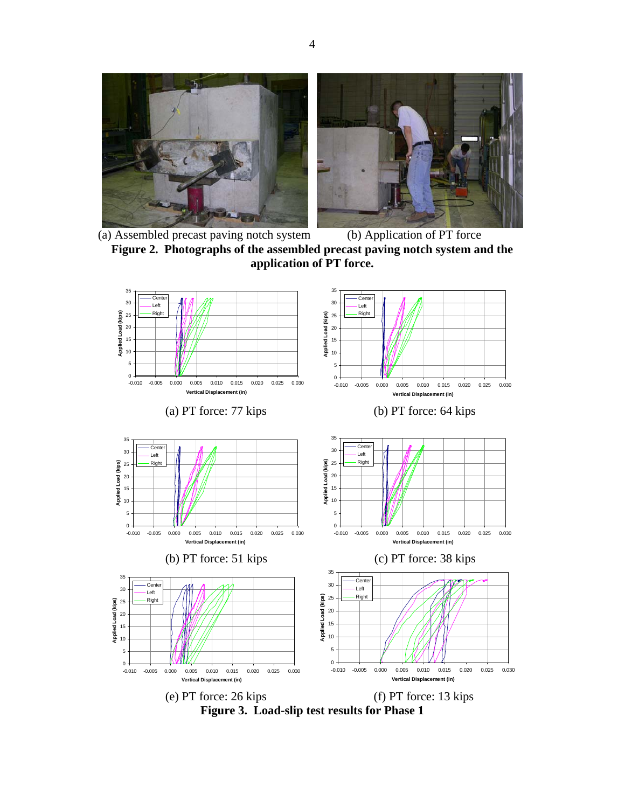

 (a) Assembled precast paving notch system (b) Application of PT force **Figure 2. Photographs of the assembled precast paving notch system and the application of PT force.** 



**Figure 3. Load-slip test results for Phase 1**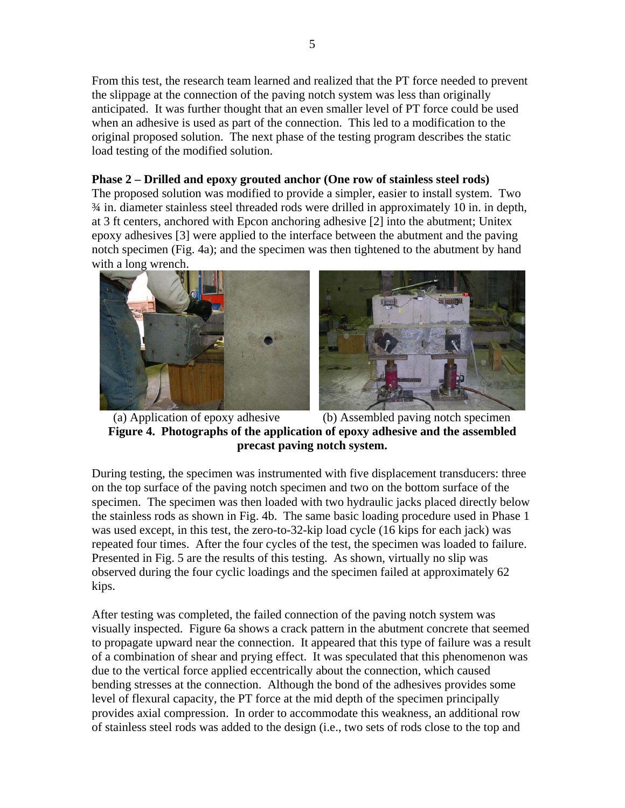From this test, the research team learned and realized that the PT force needed to prevent the slippage at the connection of the paving notch system was less than originally anticipated. It was further thought that an even smaller level of PT force could be used when an adhesive is used as part of the connection. This led to a modification to the original proposed solution. The next phase of the testing program describes the static load testing of the modified solution.

### **Phase 2 – Drilled and epoxy grouted anchor (One row of stainless steel rods)**

The proposed solution was modified to provide a simpler, easier to install system. Two ¾ in. diameter stainless steel threaded rods were drilled in approximately 10 in. in depth, at 3 ft centers, anchored with Epcon anchoring adhesive [2] into the abutment; Unitex epoxy adhesives [3] were applied to the interface between the abutment and the paving notch specimen (Fig. 4a); and the specimen was then tightened to the abutment by hand with a long wrench.





 (a) Application of epoxy adhesive (b) Assembled paving notch specimen **Figure 4. Photographs of the application of epoxy adhesive and the assembled precast paving notch system.**

During testing, the specimen was instrumented with five displacement transducers: three on the top surface of the paving notch specimen and two on the bottom surface of the specimen. The specimen was then loaded with two hydraulic jacks placed directly below the stainless rods as shown in Fig. 4b. The same basic loading procedure used in Phase 1 was used except, in this test, the zero-to-32-kip load cycle (16 kips for each jack) was repeated four times. After the four cycles of the test, the specimen was loaded to failure. Presented in Fig. 5 are the results of this testing. As shown, virtually no slip was observed during the four cyclic loadings and the specimen failed at approximately 62 kips.

After testing was completed, the failed connection of the paving notch system was visually inspected. Figure 6a shows a crack pattern in the abutment concrete that seemed to propagate upward near the connection. It appeared that this type of failure was a result of a combination of shear and prying effect. It was speculated that this phenomenon was due to the vertical force applied eccentrically about the connection, which caused bending stresses at the connection. Although the bond of the adhesives provides some level of flexural capacity, the PT force at the mid depth of the specimen principally provides axial compression. In order to accommodate this weakness, an additional row of stainless steel rods was added to the design (i.e., two sets of rods close to the top and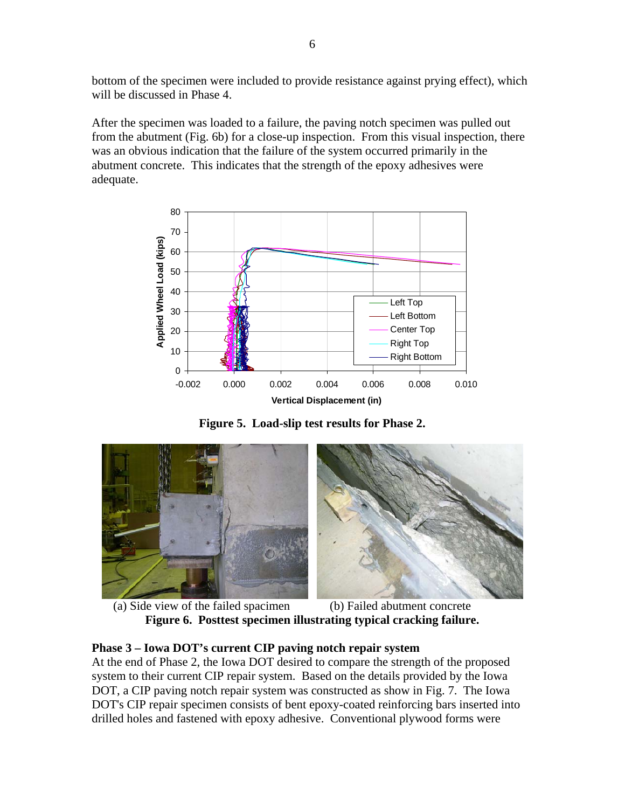bottom of the specimen were included to provide resistance against prying effect), which will be discussed in Phase 4.

After the specimen was loaded to a failure, the paving notch specimen was pulled out from the abutment (Fig. 6b) for a close-up inspection. From this visual inspection, there was an obvious indication that the failure of the system occurred primarily in the abutment concrete. This indicates that the strength of the epoxy adhesives were adequate.



**Figure 5. Load-slip test results for Phase 2.** 



 (a) Side view of the failed spacimen (b) Failed abutment concrete **Figure 6. Posttest specimen illustrating typical cracking failure.** 

## **Phase 3 – Iowa DOT's current CIP paving notch repair system**

At the end of Phase 2, the Iowa DOT desired to compare the strength of the proposed system to their current CIP repair system. Based on the details provided by the Iowa DOT, a CIP paving notch repair system was constructed as show in Fig. 7. The Iowa DOT's CIP repair specimen consists of bent epoxy-coated reinforcing bars inserted into drilled holes and fastened with epoxy adhesive. Conventional plywood forms were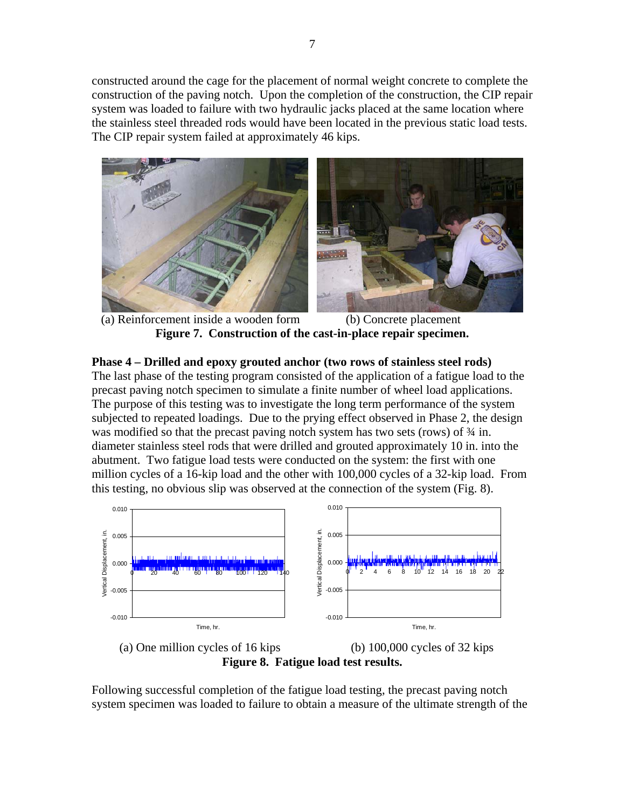constructed around the cage for the placement of normal weight concrete to complete the construction of the paving notch. Upon the completion of the construction, the CIP repair system was loaded to failure with two hydraulic jacks placed at the same location where the stainless steel threaded rods would have been located in the previous static load tests. The CIP repair system failed at approximately 46 kips.





 (a) Reinforcement inside a wooden form (b) Concrete placement **Figure 7. Construction of the cast-in-place repair specimen.** 

**Phase 4 – Drilled and epoxy grouted anchor (two rows of stainless steel rods)**  The last phase of the testing program consisted of the application of a fatigue load to the precast paving notch specimen to simulate a finite number of wheel load applications. The purpose of this testing was to investigate the long term performance of the system subjected to repeated loadings. Due to the prying effect observed in Phase 2, the design was modified so that the precast paving notch system has two sets (rows) of  $\frac{3}{4}$  in. diameter stainless steel rods that were drilled and grouted approximately 10 in. into the abutment. Two fatigue load tests were conducted on the system: the first with one million cycles of a 16-kip load and the other with 100,000 cycles of a 32-kip load. From this testing, no obvious slip was observed at the connection of the system (Fig. 8).





Following successful completion of the fatigue load testing, the precast paving notch system specimen was loaded to failure to obtain a measure of the ultimate strength of the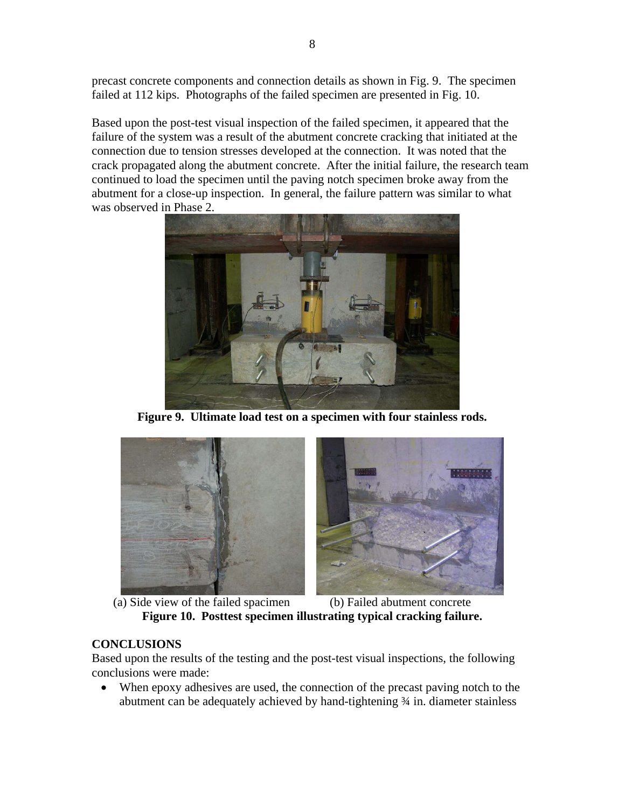precast concrete components and connection details as shown in Fig. 9. The specimen failed at 112 kips. Photographs of the failed specimen are presented in Fig. 10.

Based upon the post-test visual inspection of the failed specimen, it appeared that the failure of the system was a result of the abutment concrete cracking that initiated at the connection due to tension stresses developed at the connection. It was noted that the crack propagated along the abutment concrete. After the initial failure, the research team continued to load the specimen until the paving notch specimen broke away from the abutment for a close-up inspection. In general, the failure pattern was similar to what was observed in Phase 2.



**Figure 9. Ultimate load test on a specimen with four stainless rods.** 





 (a) Side view of the failed spacimen (b) Failed abutment concrete **Figure 10. Posttest specimen illustrating typical cracking failure.** 

## **CONCLUSIONS**

Based upon the results of the testing and the post-test visual inspections, the following conclusions were made:

When epoxy adhesives are used, the connection of the precast paving notch to the abutment can be adequately achieved by hand-tightening ¾ in. diameter stainless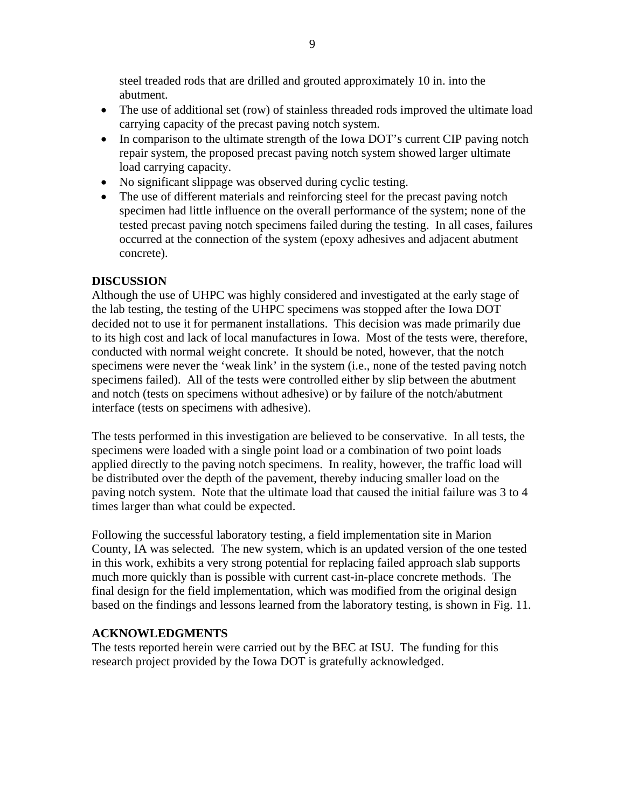steel treaded rods that are drilled and grouted approximately 10 in. into the abutment.

- The use of additional set (row) of stainless threaded rods improved the ultimate load carrying capacity of the precast paving notch system.
- In comparison to the ultimate strength of the Iowa DOT's current CIP paving notch repair system, the proposed precast paving notch system showed larger ultimate load carrying capacity.
- No significant slippage was observed during cyclic testing.
- The use of different materials and reinforcing steel for the precast paving notch specimen had little influence on the overall performance of the system; none of the tested precast paving notch specimens failed during the testing. In all cases, failures occurred at the connection of the system (epoxy adhesives and adjacent abutment concrete).

### **DISCUSSION**

Although the use of UHPC was highly considered and investigated at the early stage of the lab testing, the testing of the UHPC specimens was stopped after the Iowa DOT decided not to use it for permanent installations. This decision was made primarily due to its high cost and lack of local manufactures in Iowa. Most of the tests were, therefore, conducted with normal weight concrete. It should be noted, however, that the notch specimens were never the 'weak link' in the system (i.e., none of the tested paving notch specimens failed). All of the tests were controlled either by slip between the abutment and notch (tests on specimens without adhesive) or by failure of the notch/abutment interface (tests on specimens with adhesive).

The tests performed in this investigation are believed to be conservative. In all tests, the specimens were loaded with a single point load or a combination of two point loads applied directly to the paving notch specimens. In reality, however, the traffic load will be distributed over the depth of the pavement, thereby inducing smaller load on the paving notch system. Note that the ultimate load that caused the initial failure was 3 to 4 times larger than what could be expected.

Following the successful laboratory testing, a field implementation site in Marion County, IA was selected. The new system, which is an updated version of the one tested in this work, exhibits a very strong potential for replacing failed approach slab supports much more quickly than is possible with current cast-in-place concrete methods. The final design for the field implementation, which was modified from the original design based on the findings and lessons learned from the laboratory testing, is shown in Fig. 11.

### **ACKNOWLEDGMENTS**

The tests reported herein were carried out by the BEC at ISU. The funding for this research project provided by the Iowa DOT is gratefully acknowledged.